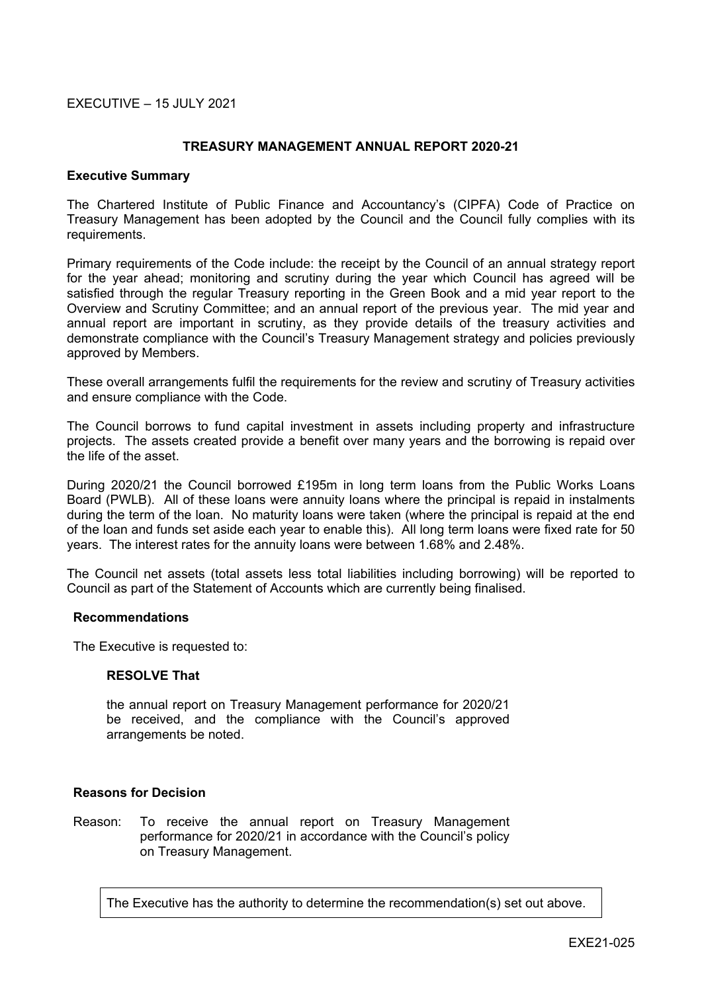## EXECUTIVE – 15 JULY 2021

### **TREASURY MANAGEMENT ANNUAL REPORT 2020-21**

#### **Executive Summary**

The Chartered Institute of Public Finance and Accountancy's (CIPFA) Code of Practice on Treasury Management has been adopted by the Council and the Council fully complies with its requirements.

Primary requirements of the Code include: the receipt by the Council of an annual strategy report for the year ahead; monitoring and scrutiny during the year which Council has agreed will be satisfied through the regular Treasury reporting in the Green Book and a mid year report to the Overview and Scrutiny Committee; and an annual report of the previous year. The mid year and annual report are important in scrutiny, as they provide details of the treasury activities and demonstrate compliance with the Council's Treasury Management strategy and policies previously approved by Members.

These overall arrangements fulfil the requirements for the review and scrutiny of Treasury activities and ensure compliance with the Code.

The Council borrows to fund capital investment in assets including property and infrastructure projects. The assets created provide a benefit over many years and the borrowing is repaid over the life of the asset.

During 2020/21 the Council borrowed £195m in long term loans from the Public Works Loans Board (PWLB). All of these loans were annuity loans where the principal is repaid in instalments during the term of the loan. No maturity loans were taken (where the principal is repaid at the end of the loan and funds set aside each year to enable this). All long term loans were fixed rate for 50 years. The interest rates for the annuity loans were between 1.68% and 2.48%.

The Council net assets (total assets less total liabilities including borrowing) will be reported to Council as part of the Statement of Accounts which are currently being finalised.

### **Recommendations**

The Executive is requested to:

### **RESOLVE That**

the annual report on Treasury Management performance for 2020/21 be received, and the compliance with the Council's approved arrangements be noted.

## **Reasons for Decision**

Reason: To receive the annual report on Treasury Management performance for 2020/21 in accordance with the Council's policy on Treasury Management.

The Executive has the authority to determine the recommendation(s) set out above.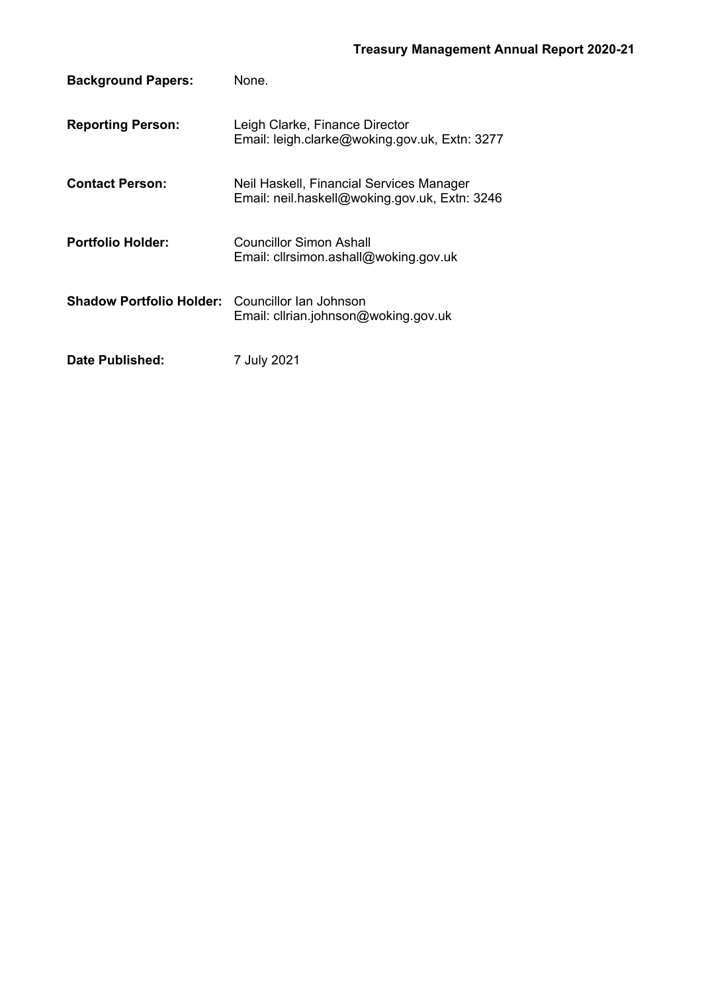| <b>Background Papers:</b>                              | None.                                                                                     |
|--------------------------------------------------------|-------------------------------------------------------------------------------------------|
| <b>Reporting Person:</b>                               | Leigh Clarke, Finance Director<br>Email: leigh.clarke@woking.gov.uk, Extn: 3277           |
| <b>Contact Person:</b>                                 | Neil Haskell, Financial Services Manager<br>Email: neil.haskell@woking.gov.uk, Extn: 3246 |
| <b>Portfolio Holder:</b>                               | Councillor Simon Ashall<br>Email: cllrsimon.ashall@woking.gov.uk                          |
| <b>Shadow Portfolio Holder:</b> Councillor lan Johnson | Email: clirian.johnson@woking.gov.uk                                                      |
| Date Published:                                        | 7 July 2021                                                                               |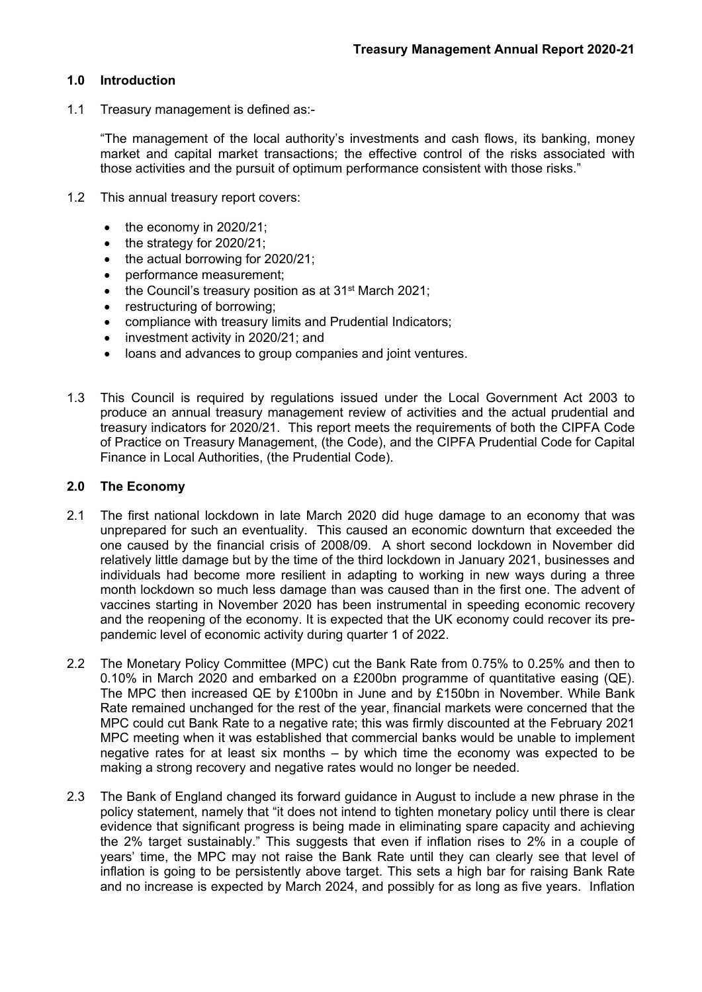## **1.0 Introduction**

1.1 Treasury management is defined as:-

"The management of the local authority's investments and cash flows, its banking, money market and capital market transactions; the effective control of the risks associated with those activities and the pursuit of optimum performance consistent with those risks."

- 1.2 This annual treasury report covers:
	- $\bullet$  the economy in 2020/21;
	- the strategy for 2020/21:
	- the actual borrowing for 2020/21:
	- performance measurement;
	- the Council's treasury position as at 31<sup>st</sup> March 2021;
	- restructuring of borrowing;
	- compliance with treasury limits and Prudential Indicators;
	- investment activity in 2020/21; and
	- loans and advances to group companies and joint ventures.
- 1.3 This Council is required by regulations issued under the Local Government Act 2003 to produce an annual treasury management review of activities and the actual prudential and treasury indicators for 2020/21. This report meets the requirements of both the CIPFA Code of Practice on Treasury Management, (the Code), and the CIPFA Prudential Code for Capital Finance in Local Authorities, (the Prudential Code).

### **2.0 The Economy**

- 2.1 The first national lockdown in late March 2020 did huge damage to an economy that was unprepared for such an eventuality. This caused an economic downturn that exceeded the one caused by the financial crisis of 2008/09. A short second lockdown in November did relatively little damage but by the time of the third lockdown in January 2021, businesses and individuals had become more resilient in adapting to working in new ways during a three month lockdown so much less damage than was caused than in the first one. The advent of vaccines starting in November 2020 has been instrumental in speeding economic recovery and the reopening of the economy. It is expected that the UK economy could recover its prepandemic level of economic activity during quarter 1 of 2022.
- 2.2 The Monetary Policy Committee (MPC) cut the Bank Rate from 0.75% to 0.25% and then to 0.10% in March 2020 and embarked on a £200bn programme of quantitative easing (QE). The MPC then increased QE by £100bn in June and by £150bn in November. While Bank Rate remained unchanged for the rest of the year, financial markets were concerned that the MPC could cut Bank Rate to a negative rate; this was firmly discounted at the February 2021 MPC meeting when it was established that commercial banks would be unable to implement negative rates for at least six months – by which time the economy was expected to be making a strong recovery and negative rates would no longer be needed.
- 2.3 The Bank of England changed its forward guidance in August to include a new phrase in the policy statement, namely that "it does not intend to tighten monetary policy until there is clear evidence that significant progress is being made in eliminating spare capacity and achieving the 2% target sustainably." This suggests that even if inflation rises to 2% in a couple of years' time, the MPC may not raise the Bank Rate until they can clearly see that level of inflation is going to be persistently above target. This sets a high bar for raising Bank Rate and no increase is expected by March 2024, and possibly for as long as five years. Inflation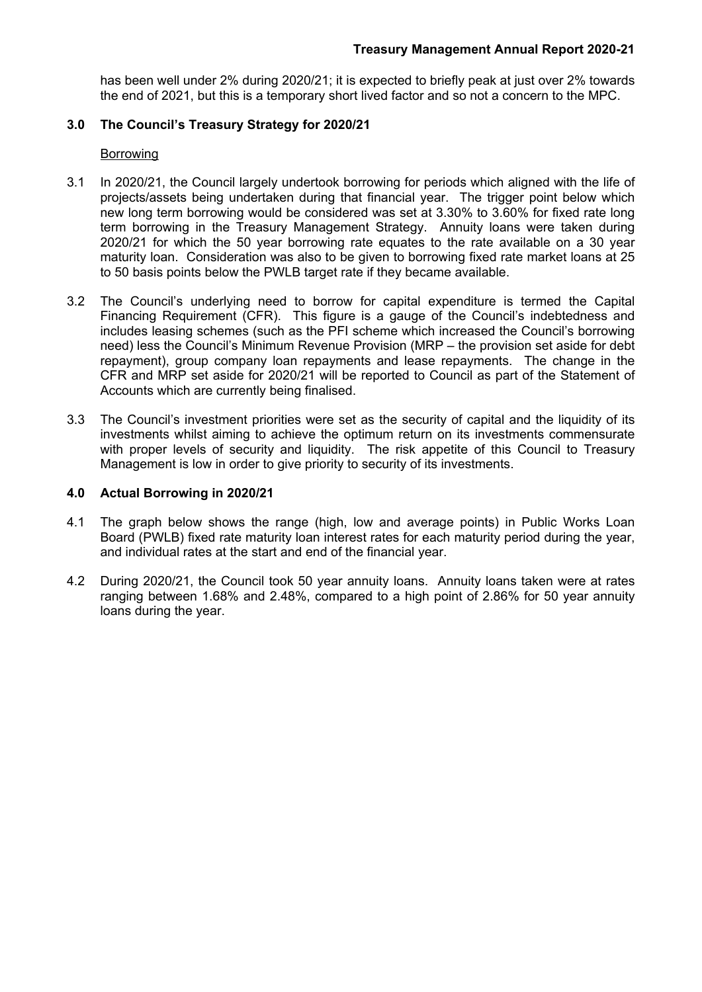has been well under 2% during 2020/21; it is expected to briefly peak at just over 2% towards the end of 2021, but this is a temporary short lived factor and so not a concern to the MPC.

# **3.0 The Council's Treasury Strategy for 2020/21**

## Borrowing

- 3.1 In 2020/21, the Council largely undertook borrowing for periods which aligned with the life of projects/assets being undertaken during that financial year. The trigger point below which new long term borrowing would be considered was set at 3.30% to 3.60% for fixed rate long term borrowing in the Treasury Management Strategy. Annuity loans were taken during 2020/21 for which the 50 year borrowing rate equates to the rate available on a 30 year maturity loan. Consideration was also to be given to borrowing fixed rate market loans at 25 to 50 basis points below the PWLB target rate if they became available.
- 3.2 The Council's underlying need to borrow for capital expenditure is termed the Capital Financing Requirement (CFR). This figure is a gauge of the Council's indebtedness and includes leasing schemes (such as the PFI scheme which increased the Council's borrowing need) less the Council's Minimum Revenue Provision (MRP – the provision set aside for debt repayment), group company loan repayments and lease repayments. The change in the CFR and MRP set aside for 2020/21 will be reported to Council as part of the Statement of Accounts which are currently being finalised.
- 3.3 The Council's investment priorities were set as the security of capital and the liquidity of its investments whilst aiming to achieve the optimum return on its investments commensurate with proper levels of security and liquidity. The risk appetite of this Council to Treasury Management is low in order to give priority to security of its investments.

## **4.0 Actual Borrowing in 2020/21**

- 4.1 The graph below shows the range (high, low and average points) in Public Works Loan Board (PWLB) fixed rate maturity loan interest rates for each maturity period during the year, and individual rates at the start and end of the financial year.
- 4.2 During 2020/21, the Council took 50 year annuity loans. Annuity loans taken were at rates ranging between 1.68% and 2.48%, compared to a high point of 2.86% for 50 year annuity loans during the year.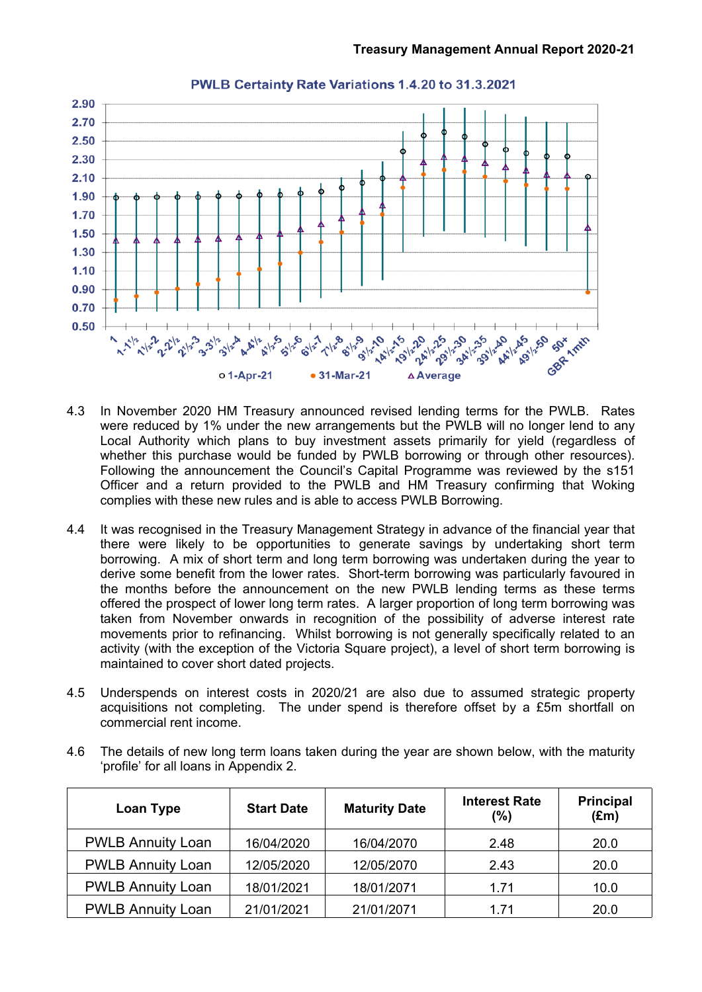

# PWLB Certainty Rate Variations 1.4.20 to 31.3.2021

- 4.3 In November 2020 HM Treasury announced revised lending terms for the PWLB. Rates were reduced by 1% under the new arrangements but the PWLB will no longer lend to any Local Authority which plans to buy investment assets primarily for yield (regardless of whether this purchase would be funded by PWLB borrowing or through other resources). Following the announcement the Council's Capital Programme was reviewed by the s151 Officer and a return provided to the PWLB and HM Treasury confirming that Woking complies with these new rules and is able to access PWLB Borrowing.
- 4.4 It was recognised in the Treasury Management Strategy in advance of the financial year that there were likely to be opportunities to generate savings by undertaking short term borrowing. A mix of short term and long term borrowing was undertaken during the year to derive some benefit from the lower rates. Short-term borrowing was particularly favoured in the months before the announcement on the new PWLB lending terms as these terms offered the prospect of lower long term rates. A larger proportion of long term borrowing was taken from November onwards in recognition of the possibility of adverse interest rate movements prior to refinancing. Whilst borrowing is not generally specifically related to an activity (with the exception of the Victoria Square project), a level of short term borrowing is maintained to cover short dated projects.
- 4.5 Underspends on interest costs in 2020/21 are also due to assumed strategic property acquisitions not completing. The under spend is therefore offset by a £5m shortfall on commercial rent income.
- 4.6 The details of new long term loans taken during the year are shown below, with the maturity 'profile' for all loans in Appendix 2.

| Loan Type                | <b>Maturity Date</b><br><b>Start Date</b> |            | <b>Interest Rate</b><br>(%) | <b>Principal</b><br>$(\text{Em})$ |  |
|--------------------------|-------------------------------------------|------------|-----------------------------|-----------------------------------|--|
| <b>PWLB Annuity Loan</b> | 16/04/2020                                | 16/04/2070 | 2.48                        | 20.0                              |  |
| <b>PWLB Annuity Loan</b> | 12/05/2020                                | 12/05/2070 | 2.43                        | 20.0                              |  |
| <b>PWLB Annuity Loan</b> | 18/01/2021                                | 18/01/2071 | 1.71                        | 10.0                              |  |
| <b>PWLB Annuity Loan</b> | 21/01/2021                                | 21/01/2071 | 1.71                        | 20.0                              |  |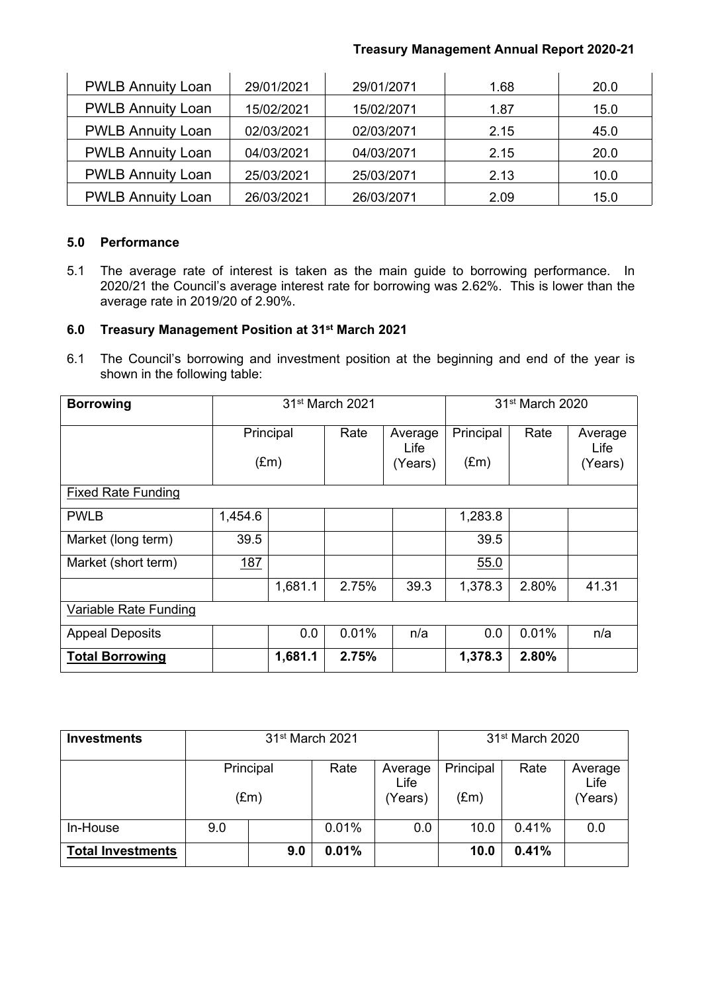# **Treasury Management Annual Report 2020-21**

| <b>PWLB Annuity Loan</b> | 29/01/2021 | 29/01/2071 | 1.68 | 20.0 |
|--------------------------|------------|------------|------|------|
| <b>PWLB Annuity Loan</b> | 15/02/2021 | 15/02/2071 | 1.87 | 15.0 |
| <b>PWLB Annuity Loan</b> | 02/03/2021 | 02/03/2071 | 2.15 | 45.0 |
| <b>PWLB Annuity Loan</b> | 04/03/2021 | 04/03/2071 | 2.15 | 20.0 |
| <b>PWLB Annuity Loan</b> | 25/03/2021 | 25/03/2071 | 2.13 | 10.0 |
| <b>PWLB Annuity Loan</b> | 26/03/2021 | 26/03/2071 | 2.09 | 15.0 |

# **5.0 Performance**

5.1 The average rate of interest is taken as the main guide to borrowing performance. In 2020/21 the Council's average interest rate for borrowing was 2.62%. This is lower than the average rate in 2019/20 of 2.90%.

# **6.0 Treasury Management Position at 31st March 2021**

6.1 The Council's borrowing and investment position at the beginning and end of the year is shown in the following table:

| <b>Borrowing</b>          | 31 <sup>st</sup> March 2021 |         |       |                            | 31st March 2020            |       |                            |
|---------------------------|-----------------------------|---------|-------|----------------------------|----------------------------|-------|----------------------------|
|                           | Principal<br>$(\text{Em})$  |         | Rate  | Average<br>Life<br>(Years) | Principal<br>$(\text{Em})$ | Rate  | Average<br>Life<br>(Years) |
| <b>Fixed Rate Funding</b> |                             |         |       |                            |                            |       |                            |
| <b>PWLB</b>               | 1,454.6                     |         |       |                            | 1,283.8                    |       |                            |
| Market (long term)        | 39.5                        |         |       |                            | 39.5                       |       |                            |
| Market (short term)       | 187                         |         |       |                            | 55.0                       |       |                            |
|                           |                             | 1,681.1 | 2.75% | 39.3                       | 1,378.3                    | 2.80% | 41.31                      |
| Variable Rate Funding     |                             |         |       |                            |                            |       |                            |
| <b>Appeal Deposits</b>    |                             | 0.0     | 0.01% | n/a                        | 0.0                        | 0.01% | n/a                        |
| <b>Total Borrowing</b>    |                             | 1,681.1 | 2.75% |                            | 1,378.3                    | 2.80% |                            |

| <b>Investments</b>       | 31 <sup>st</sup> March 2021 |               |       |                            | 31 <sup>st</sup> March 2020 |       |                            |
|--------------------------|-----------------------------|---------------|-------|----------------------------|-----------------------------|-------|----------------------------|
|                          | Principal                   | $(\text{Em})$ | Rate  | Average<br>Life<br>(Years) | Principal<br>(£m)           | Rate  | Average<br>Life<br>(Years) |
| In-House                 | 9.0                         |               | 0.01% | 0.0                        | 10.0                        | 0.41% | 0.0                        |
| <b>Total Investments</b> |                             | 9.0           | 0.01% |                            | 10.0                        | 0.41% |                            |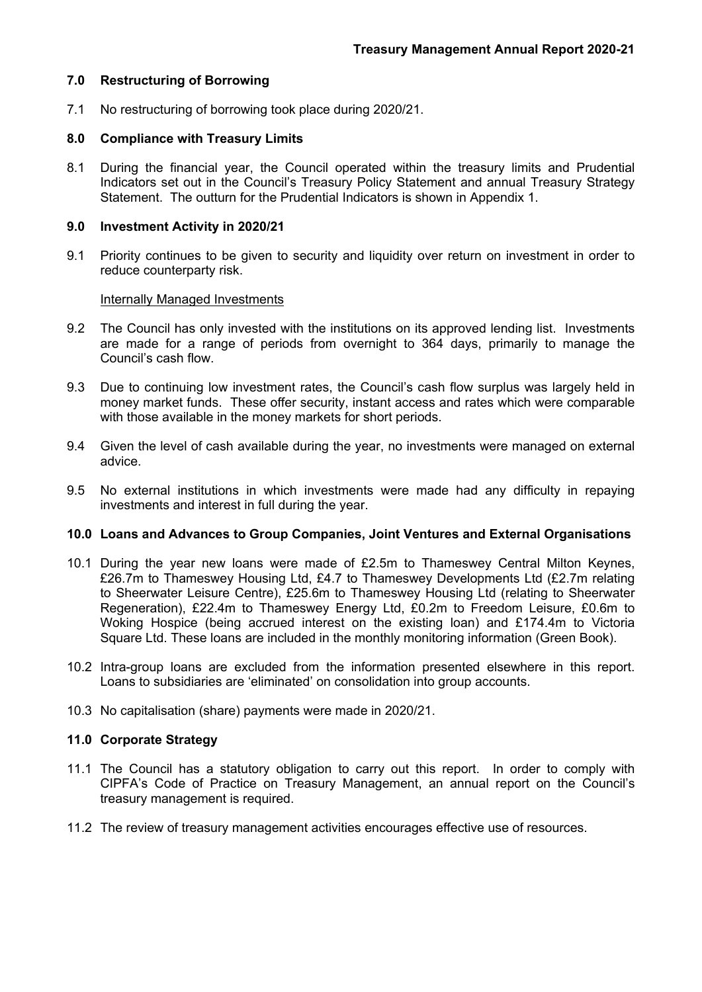## **7.0 Restructuring of Borrowing**

7.1 No restructuring of borrowing took place during 2020/21.

### **8.0 Compliance with Treasury Limits**

8.1 During the financial year, the Council operated within the treasury limits and Prudential Indicators set out in the Council's Treasury Policy Statement and annual Treasury Strategy Statement. The outturn for the Prudential Indicators is shown in Appendix 1.

### **9.0 Investment Activity in 2020/21**

9.1 Priority continues to be given to security and liquidity over return on investment in order to reduce counterparty risk.

### Internally Managed Investments

- 9.2 The Council has only invested with the institutions on its approved lending list. Investments are made for a range of periods from overnight to 364 days, primarily to manage the Council's cash flow.
- 9.3 Due to continuing low investment rates, the Council's cash flow surplus was largely held in money market funds. These offer security, instant access and rates which were comparable with those available in the money markets for short periods.
- 9.4 Given the level of cash available during the year, no investments were managed on external advice.
- 9.5 No external institutions in which investments were made had any difficulty in repaying investments and interest in full during the year.

### **10.0 Loans and Advances to Group Companies, Joint Ventures and External Organisations**

- 10.1 During the year new loans were made of £2.5m to Thameswey Central Milton Keynes, £26.7m to Thameswey Housing Ltd, £4.7 to Thameswey Developments Ltd (£2.7m relating to Sheerwater Leisure Centre), £25.6m to Thameswey Housing Ltd (relating to Sheerwater Regeneration), £22.4m to Thameswey Energy Ltd, £0.2m to Freedom Leisure, £0.6m to Woking Hospice (being accrued interest on the existing loan) and £174.4m to Victoria Square Ltd. These loans are included in the monthly monitoring information (Green Book).
- 10.2 Intra-group loans are excluded from the information presented elsewhere in this report. Loans to subsidiaries are 'eliminated' on consolidation into group accounts.
- 10.3 No capitalisation (share) payments were made in 2020/21.

## **11.0 Corporate Strategy**

- 11.1 The Council has a statutory obligation to carry out this report. In order to comply with CIPFA's Code of Practice on Treasury Management, an annual report on the Council's treasury management is required.
- 11.2 The review of treasury management activities encourages effective use of resources.